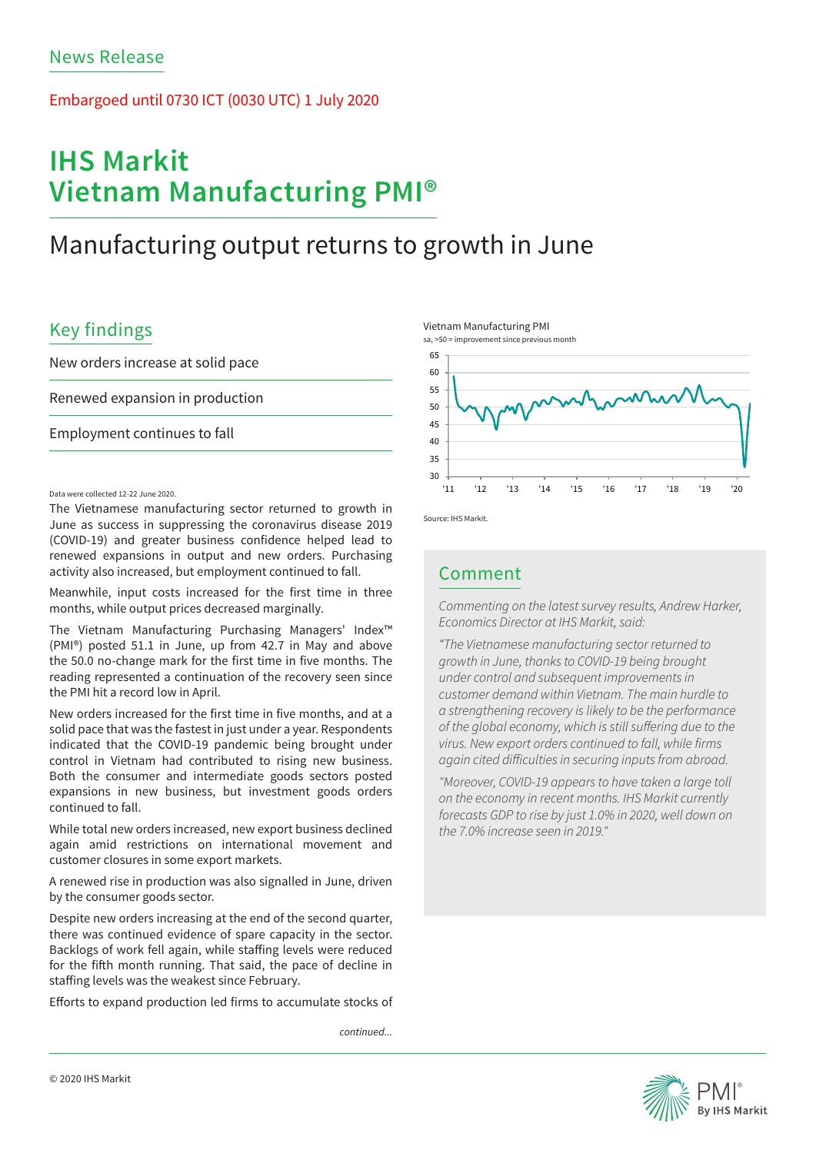### Embargoed until 0730 ICT (0030 UTC) 1 July 2020

# **IHS Markit Vietnam Manufacturing PMI®**

## Manufacturing output returns to growth in June

## Key findings

New orders increase at solid pace

Renewed expansion in production

Employment continues to fall

### Data were collected 12-22 June 2020.

The Vietnamese manufacturing sector returned to growth in June as success in suppressing the coronavirus disease 2019 (COVID-19) and greater business confidence helped lead to renewed expansions in output and new orders. Purchasing activity also increased, but employment continued to fall.

Meanwhile, input costs increased for the first time in three months, while output prices decreased marginally.

The Vietnam Manufacturing Purchasing Managers' Index™ (PMI®) posted 51.1 in June, up from 42.7 in May and above the 50.0 no-change mark for the first time in five months. The reading represented a continuation of the recovery seen since the PMI hit a record low in April.

New orders increased for the first time in five months, and at a solid pace that was the fastest in just under a year. Respondents indicated that the COVID-19 pandemic being brought under control in Vietnam had contributed to rising new business. Both the consumer and intermediate goods sectors posted expansions in new business, but investment goods orders continued to fall.

While total new orders increased, new export business declined again amid restrictions on international movement and customer closures in some export markets.

A renewed rise in production was also signalled in June, driven by the consumer goods sector.

Despite new orders increasing at the end of the second quarter, there was continued evidence of spare capacity in the sector. Backlogs of work fell again, while staffing levels were reduced for the fifth month running. That said, the pace of decline in staffing levels was the weakest since February.

Efforts to expand production led firms to accumulate stocks of

*continued...*







Source: IHS Markit.

### Comment

*Commenting on the latest survey results, Andrew Harker, Economics Director at IHS Markit, said:* 

*"The Vietnamese manufacturing sector returned to growth in June, thanks to COVID-19 being brought under control and subsequent improvements in customer demand within Vietnam. The main hurdle to a strengthening recovery is likely to be the performance of the global economy, which is still suffering due to the virus. New export orders continued to fall, while firms again cited difficulties in securing inputs from abroad.*

*"Moreover, COVID-19 appears to have taken a large toll on the economy in recent months. IHS Markit currently forecasts GDP to rise by just 1.0% in 2020, well down on the 7.0% increase seen in 2019."*